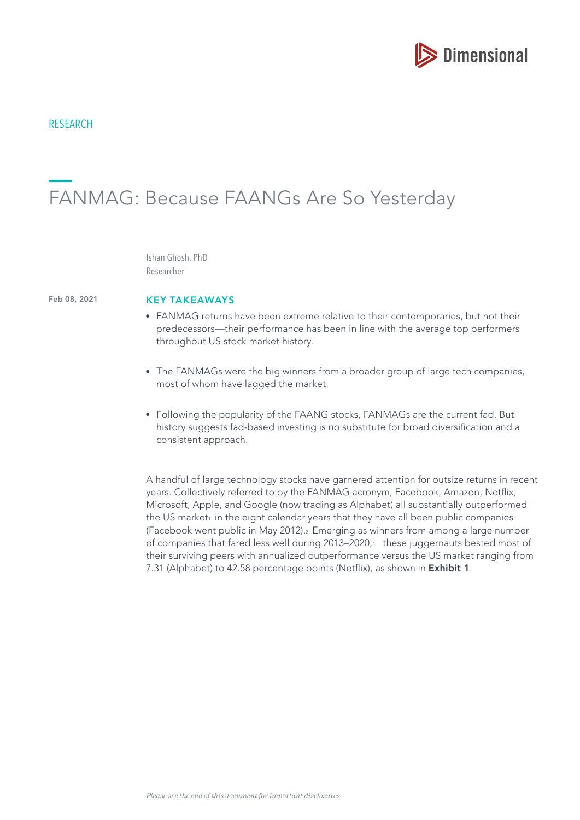

# **RESEARCH**

# FANMAG: Because FAANGs Are So Yesterday

Ishan Ghosh, PhD Researcher

Feb 08, 2021

### KEY TAKEAWAYS

- FANMAG returns have been extreme relative to their contemporaries, but not their predecessors—their performance has been in line with the average top performers throughout US stock market history.
- The FANMAGs were the big winners from a broader group of large tech companies, most of whom have lagged the market.
- Following the popularity of the FAANG stocks, FANMAGs are the current fad. But history suggests fad-based investing is no substitute for broad diversifcation and a consistent approach.

A handful of large technology stocks have garnered attention for outsize returns in recent years. Collectively referred to by the FANMAG acronym, Facebook, Amazon, Netfix, Microsoft, Apple, and Google (now trading as Alphabet) all substantially outperformed the US market $_1$  in the eight calendar years that they have all been public companies (Facebook went public in May 2012).2 Emerging as winners from among a large number of companies that fared less well during 2013–2020,<sup>3</sup> these juggernauts bested most of their surviving peers with annualized outperformance versus the US market ranging from 7.31 (Alphabet) to 42.58 percentage points (Netflix), as shown in Exhibit 1.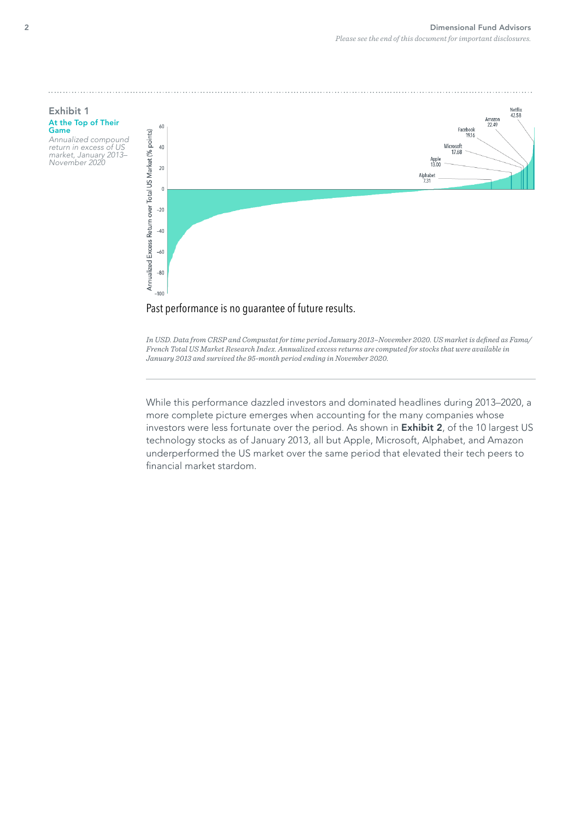



*In USD. Data from CRSP and Compustat for time period January 2013–November 2020. US market is defned as Fama/ French Total US Market Research Index. Annualized excess returns are computed for stocks that were available in January 2013 and survived the 95-month period ending in November 2020.*

While this performance dazzled investors and dominated headlines during 2013–2020, a more complete picture emerges when accounting for the many companies whose investors were less fortunate over the period. As shown in **Exhibit 2**, of the 10 largest US technology stocks as of January 2013, all but Apple, Microsoft, Alphabet, and Amazon underperformed the US market over the same period that elevated their tech peers to financial market stardom.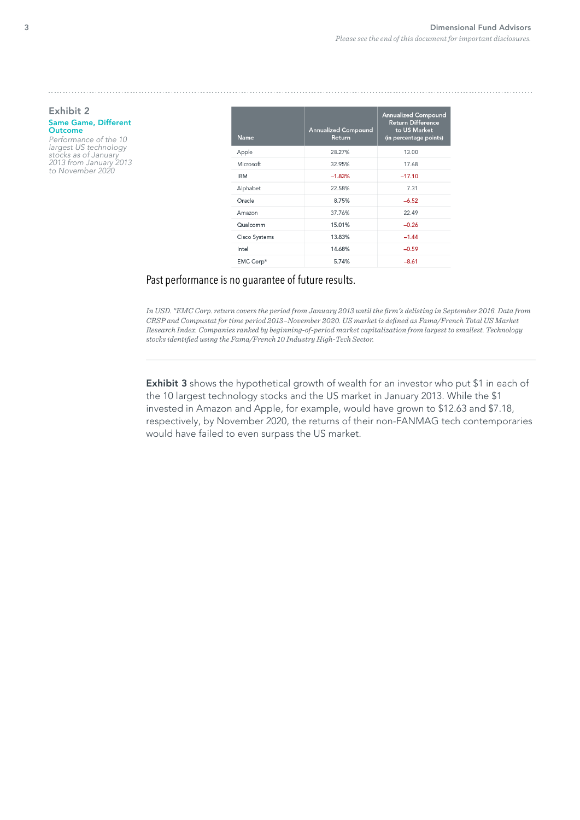#### Exhibit 2 Same Game, Different Outcome

Performance of the 10 largest US technology stocks as of January 2013 from January 2013 to November 2020

| <b>Name</b>   | <b>Annualized Compound</b><br>Return | <b>Annualized Compound</b><br><b>Return Difference</b><br>to US Market<br>(in percentage points) |
|---------------|--------------------------------------|--------------------------------------------------------------------------------------------------|
| Apple         | 28.27%                               | 13.00                                                                                            |
| Microsoft     | 32.95%                               | 17.68                                                                                            |
| <b>IBM</b>    | $-1.83%$                             | $-17.10$                                                                                         |
| Alphabet      | 22.58%                               | 7.31                                                                                             |
| Oracle        | 8.75%                                | $-6.52$                                                                                          |
| Amazon        | 37.76%                               | 22.49                                                                                            |
| Qualcomm      | 15.01%                               | $-0.26$                                                                                          |
| Cisco Systems | 13.83%                               | $-1.44$                                                                                          |
| Intel         | 14.68%                               | $-0.59$                                                                                          |
| EMC Corp*     | 5.74%                                | $-8.61$                                                                                          |

# Past performance is no guarantee of future results.

*In USD. \*EMC Corp. return covers the period from January 2013 until the frm's delisting in September 2016. Data from CRSP and Compustat for time period 2013–November 2020. US market is defned as Fama/French Total US Market Research Index. Companies ranked by beginning-of-period market capitalization from largest to smallest. Technology stocks identifed using the Fama/French 10 Industry High-Tech Sector.*

Exhibit 3 shows the hypothetical growth of wealth for an investor who put \$1 in each of the 10 largest technology stocks and the US market in January 2013. While the \$1 invested in Amazon and Apple, for example, would have grown to \$12.63 and \$7.18, respectively, by November 2020, the returns of their non-FANMAG tech contemporaries would have failed to even surpass the US market.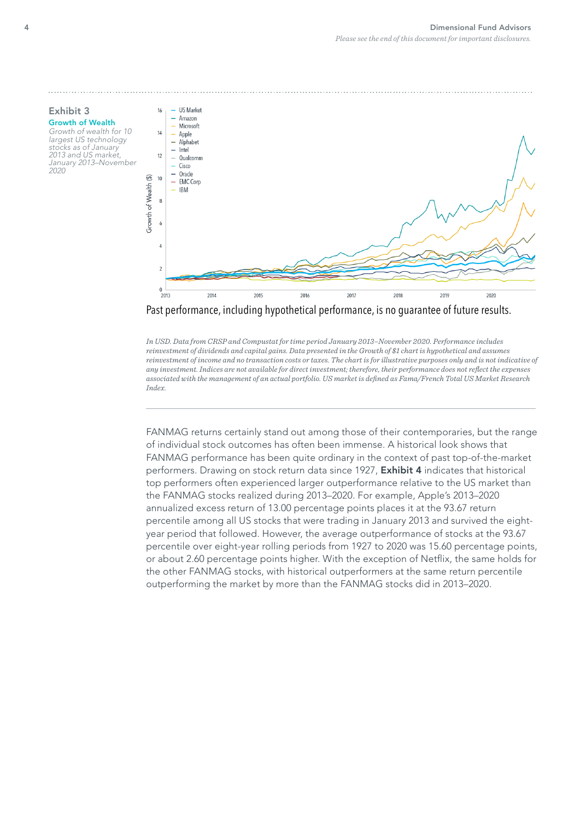

*In USD. Data from CRSP and Compustat for time period January 2013–November 2020. Performance includes reinvestment of dividends and capital gains. Data presented in the Growth of \$1 chart is hypothetical and assumes reinvestment of income and no transaction costs or taxes. The chart is for illustrative purposes only and is not indicative of any investment. Indices are not available for direct investment; therefore, their performance does not refect the expenses associated with the management of an actual portfolio. US market is defned as Fama/French Total US Market Research Index.*

FANMAG returns certainly stand out among those of their contemporaries, but the range of individual stock outcomes has often been immense. A historical look shows that FANMAG performance has been quite ordinary in the context of past top-of-the-market performers. Drawing on stock return data since 1927, **Exhibit 4** indicates that historical top performers often experienced larger outperformance relative to the US market than the FANMAG stocks realized during 2013–2020. For example, Apple's 2013–2020 annualized excess return of 13.00 percentage points places it at the 93.67 return percentile among all US stocks that were trading in January 2013 and survived the eightyear period that followed. However, the average outperformance of stocks at the 93.67 percentile over eight-year rolling periods from 1927 to 2020 was 15.60 percentage points, or about 2.60 percentage points higher. With the exception of Netfix, the same holds for the other FANMAG stocks, with historical outperformers at the same return percentile outperforming the market by more than the FANMAG stocks did in 2013–2020.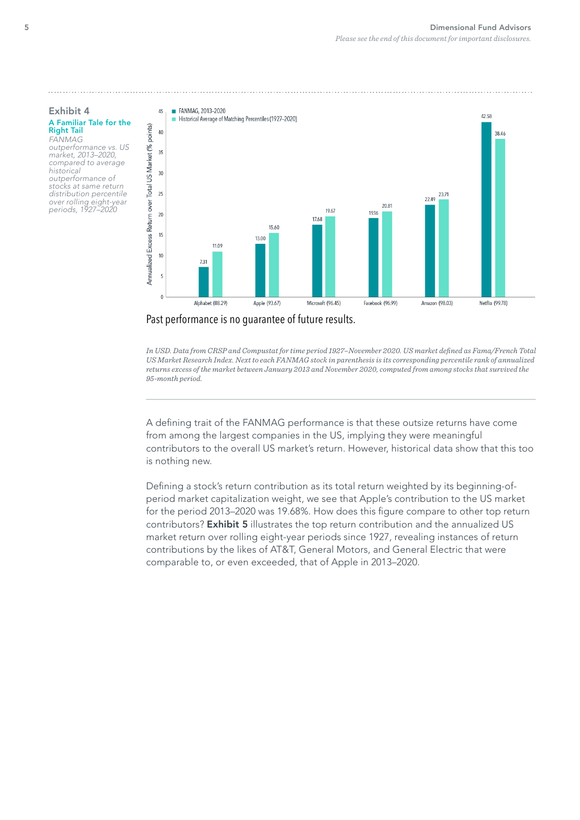

outperformance vs. US market, 2013–2020, compared to average historical outperformance of stocks at same return distribution percentile over rolling eight-year periods, 1927–2020



## Past performance is no guarantee of future results.

*In USD. Data from CRSP and Compustat for time period 1927–November 2020. US market defned as Fama/French Total US Market Research Index. Next to each FANMAG stock in parenthesis is its corresponding percentile rank of annualized returns excess of the market between January 2013 and November 2020, computed from among stocks that survived the 95-month period.*

A defning trait of the FANMAG performance is that these outsize returns have come from among the largest companies in the US, implying they were meaningful contributors to the overall US market's return. However, historical data show that this too is nothing new.

Defning a stock's return contribution as its total return weighted by its beginning-ofperiod market capitalization weight, we see that Apple's contribution to the US market for the period 2013–2020 was 19.68%. How does this figure compare to other top return contributors? Exhibit 5 illustrates the top return contribution and the annualized US market return over rolling eight-year periods since 1927, revealing instances of return contributions by the likes of AT&T, General Motors, and General Electric that were comparable to, or even exceeded, that of Apple in 2013–2020.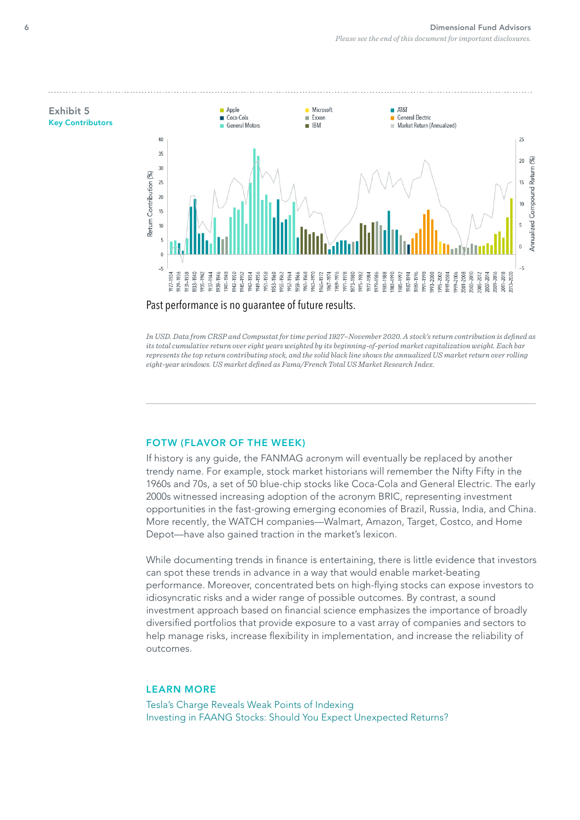

*In USD. Data from CRSP and Compustat for time period 1927–November 2020. A stock's return contribution is defned as its total cumulative return over eight years weighted by its beginning-of-period market capitalization weight. Each bar represents the top return contributing stock, and the solid black line shows the annualized US market return over rolling eight-year windows. US market defned as Fama/French Total US Market Research Index.*

# FOTW (FLAVOR OF THE WEEK)

If history is any guide, the FANMAG acronym will eventually be replaced by another trendy name. For example, stock market historians will remember the Nifty Fifty in the 1960s and 70s, a set of 50 blue-chip stocks like Coca-Cola and General Electric. The early 2000s witnessed increasing adoption of the acronym BRIC, representing investment opportunities in the fast-growing emerging economies of Brazil, Russia, India, and China. More recently, the WATCH companies—Walmart, Amazon, Target, Costco, and Home Depot—have also gained traction in the market's lexicon.

While documenting trends in finance is entertaining, there is little evidence that investors can spot these trends in advance in a way that would enable market-beating performance. Moreover, concentrated bets on high-fying stocks can expose investors to idiosyncratic risks and a wider range of possible outcomes. By contrast, a sound investment approach based on fnancial science emphasizes the importance of broadly diversifed portfolios that provide exposure to a vast array of companies and sectors to help manage risks, increase fexibility in implementation, and increase the reliability of outcomes.

### LEARN MORE

[Tesla's Charge Reveals Weak Points of Indexing](https://www-cms.mydimensional.com/teslas-charge-reveals-weak-points-of-indexing) [Investing in FAANG Stocks: Should You Expect Unexpected Returns?](https://www-cms.mydimensional.com/investing-in-faang-stocks-should-you-expect-unexpected-returns)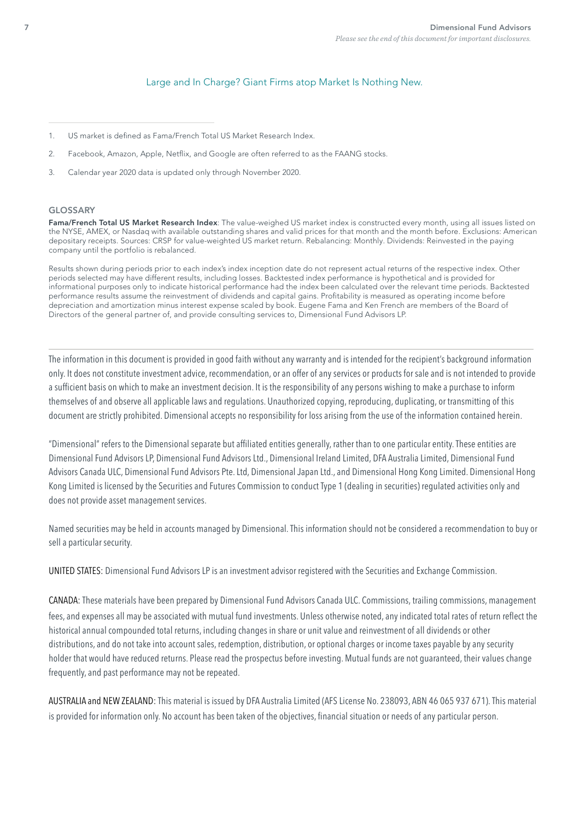### [Large and In Charge? Giant Firms atop Market Is Nothing New.](https://www-cms.mydimensional.com/large-and-in-charge-giant-firms-atop-market-is-nothing-new)

- 1. US market is defned as Fama/French Total US Market Research Index.
- 2. Facebook, Amazon, Apple, Netfix, and Google are often referred to as the FAANG stocks.
- 3. Calendar year 2020 data is updated only through November 2020.

#### GLOSSARY

Fama/French Total US Market Research Index: The value-weighed US market index is constructed every month, using all issues listed on the NYSE, AMEX, or Nasdaq with available outstanding shares and valid prices for that month and the month before. Exclusions: American depositary receipts. Sources: CRSP for value-weighted US market return. Rebalancing: Monthly. Dividends: Reinvested in the paying company until the portfolio is rebalanced.

Results shown during periods prior to each index's index inception date do not represent actual returns of the respective index. Other periods selected may have different results, including losses. Backtested index performance is hypothetical and is provided for informational purposes only to indicate historical performance had the index been calculated over the relevant time periods. Backtested performance results assume the reinvestment of dividends and capital gains. Proftability is measured as operating income before depreciation and amortization minus interest expense scaled by book. Eugene Fama and Ken French are members of the Board of Directors of the general partner of, and provide consulting services to, Dimensional Fund Advisors LP.

The information in this document is provided in good faith without any warranty and is intended for the recipient's background information only. It does not constitute investment advice, recommendation, or an offer of any services or products for sale and is not intended to provide a suffcient basis on which to make an investment decision. It is the responsibility of any persons wishing to make a purchase to inform themselves of and observe all applicable laws and regulations. Unauthorized copying, reproducing, duplicating, or transmitting of this document are strictly prohibited. Dimensional accepts no responsibility for loss arising from the use of the information contained herein.

"Dimensional" refers to the Dimensional separate but affliated entities generally, rather than to one particular entity. These entities are Dimensional Fund Advisors LP, Dimensional Fund Advisors Ltd., Dimensional Ireland Limited, DFA Australia Limited, Dimensional Fund Advisors Canada ULC, Dimensional Fund Advisors Pte. Ltd, Dimensional Japan Ltd., and Dimensional Hong Kong Limited. Dimensional Hong Kong Limited is licensed by the Securities and Futures Commission to conduct Type 1 (dealing in securities) regulated activities only and does not provide asset management services.

Named securities may be held in accounts managed by Dimensional. This information should not be considered a recommendation to buy or sell a particular security.

UNITED STATES: Dimensional Fund Advisors LP is an investment advisor registered with the Securities and Exchange Commission.

CANADA: These materials have been prepared by Dimensional Fund Advisors Canada ULC. Commissions, trailing commissions, management fees, and expenses all may be associated with mutual fund investments. Unless otherwise noted, any indicated total rates of return refect the historical annual compounded total returns, including changes in share or unit value and reinvestment of all dividends or other distributions, and do not take into account sales, redemption, distribution, or optional charges or income taxes payable by any security holder that would have reduced returns. Please read the prospectus before investing. Mutual funds are not guaranteed, their values change frequently, and past performance may not be repeated.

AUSTRALIA and NEW ZEALAND: This material is issued by DFA Australia Limited (AFS License No. 238093, ABN 46 065 937 671). This material is provided for information only. No account has been taken of the objectives, fnancial situation or needs of any particular person.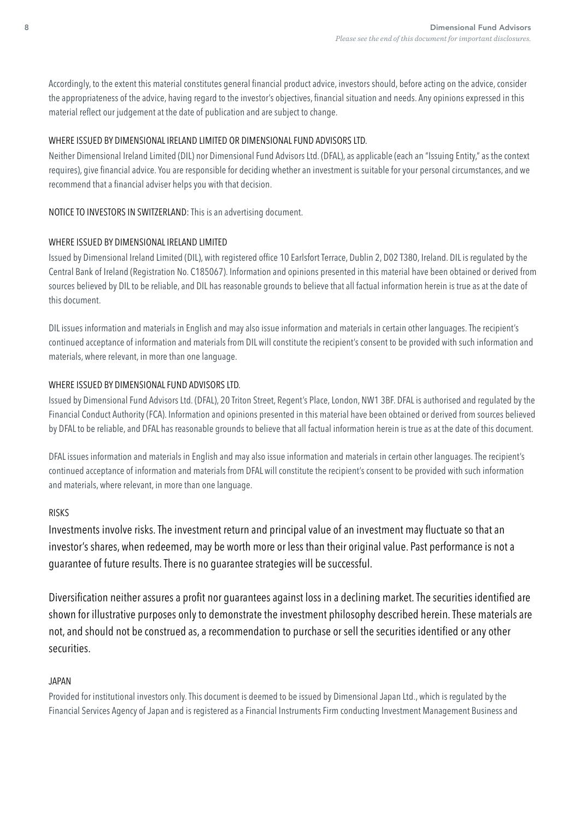Accordingly, to the extent this material constitutes general fnancial product advice, investors should, before acting on the advice, consider the appropriateness of the advice, having regard to the investor's objectives, fnancial situation and needs. Any opinions expressed in this material refect our judgement at the date of publication and are subject to change.

# WHERE ISSUED BY DIMENSIONAL IRELAND LIMITED OR DIMENSIONAL FUND ADVISORS LTD.

Neither Dimensional Ireland Limited (DIL) nor Dimensional Fund Advisors Ltd. (DFAL), as applicable (each an "Issuing Entity," as the context requires), give fnancial advice. You are responsible for deciding whether an investment is suitable for your personal circumstances, and we recommend that a fnancial adviser helps you with that decision.

# NOTICE TO INVESTORS IN SWITZERLAND: This is an advertising document.

# WHERE ISSUED BY DIMENSIONAL IRELAND LIMITED

Issued by Dimensional Ireland Limited (DIL), with registered office 10 Earlsfort Terrace, Dublin 2, D02 T380, Ireland. DIL is regulated by the Central Bank of Ireland (Registration No. C185067). Information and opinions presented in this material have been obtained or derived from sources believed by DIL to be reliable, and DIL has reasonable grounds to believe that all factual information herein is true as at the date of this document.

DIL issues information and materials in English and may also issue information and materials in certain other languages. The recipient's continued acceptance of information and materials from DIL will constitute the recipient's consent to be provided with such information and materials, where relevant, in more than one language.

# WHERE ISSUED BY DIMENSIONAL FUND ADVISORS LTD.

Issued by Dimensional Fund Advisors Ltd. (DFAL), 20 Triton Street, Regent's Place, London, NW1 3BF. DFAL is authorised and regulated by the Financial Conduct Authority (FCA). Information and opinions presented in this material have been obtained or derived from sources believed by DFAL to be reliable, and DFAL has reasonable grounds to believe that all factual information herein is true as at the date of this document.

DFAL issues information and materials in English and may also issue information and materials in certain other languages. The recipient's continued acceptance of information and materials from DFAL will constitute the recipient's consent to be provided with such information and materials, where relevant, in more than one language.

# RISKS

Investments involve risks. The investment return and principal value of an investment may fuctuate so that an investor's shares, when redeemed, may be worth more or less than their original value. Past performance is not a guarantee of future results. There is no guarantee strategies will be successful.

Diversification neither assures a profit nor quarantees against loss in a declining market. The securities identified are shown for illustrative purposes only to demonstrate the investment philosophy described herein. These materials are not, and should not be construed as, a recommendation to purchase or sell the securities identifed or any other securities.

# JAPAN

Provided for institutional investors only. This document is deemed to be issued by Dimensional Japan Ltd., which is regulated by the Financial Services Agency of Japan and is registered as a Financial Instruments Firm conducting Investment Management Business and